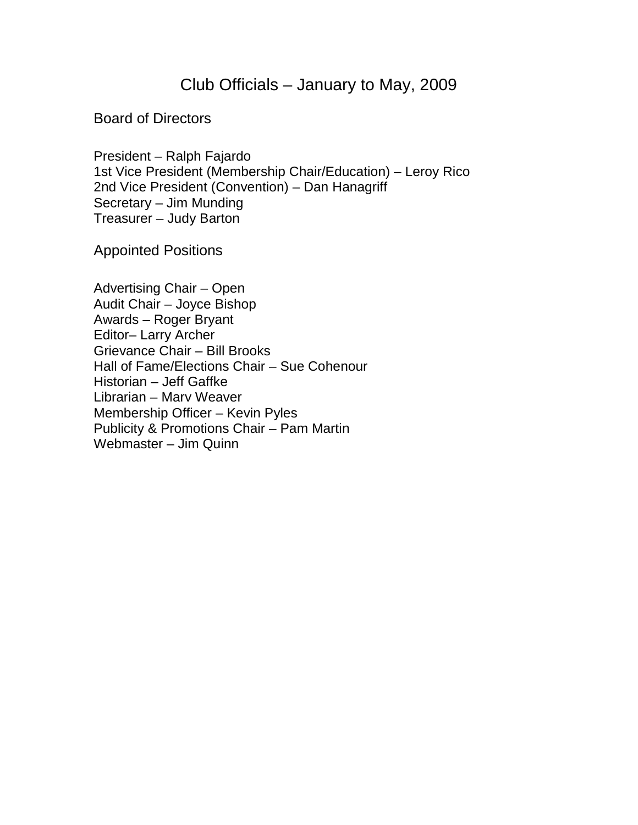Club Officials – January to May, 2009

Board of Directors

President – Ralph Fajardo 1st Vice President (Membership Chair/Education) – Leroy Rico 2nd Vice President (Convention) – Dan Hanagriff Secretary – Jim Munding Treasurer – Judy Barton

Appointed Positions

Advertising Chair – Open Audit Chair – Joyce Bishop Awards – Roger Bryant Editor– Larry Archer Grievance Chair – Bill Brooks Hall of Fame/Elections Chair – Sue Cohenour Historian – Jeff Gaffke Librarian – Marv Weaver Membership Officer – Kevin Pyles Publicity & Promotions Chair – Pam Martin Webmaster – Jim Quinn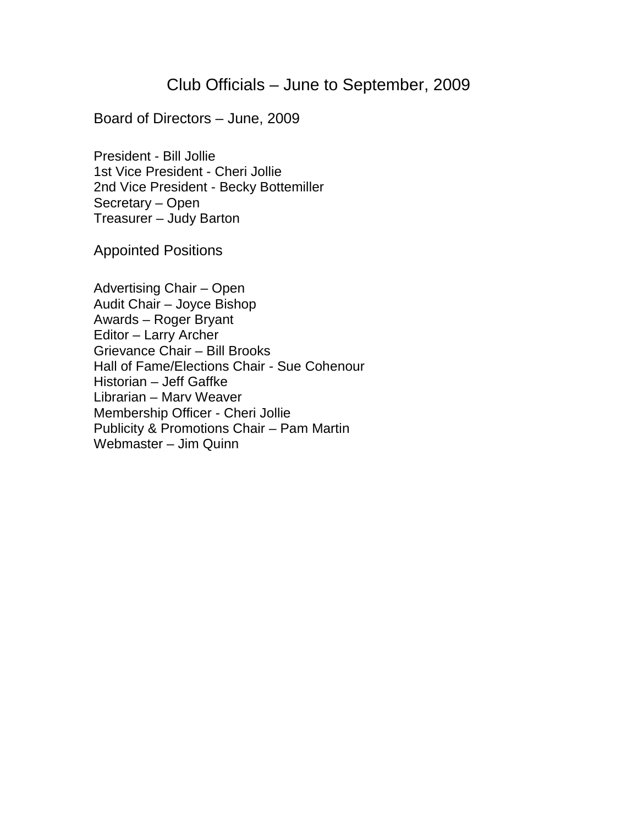## Club Officials – June to September, 2009

Board of Directors – June, 2009

President - Bill Jollie 1st Vice President - Cheri Jollie 2nd Vice President - Becky Bottemiller Secretary – Open Treasurer – Judy Barton

Appointed Positions

Advertising Chair – Open Audit Chair – Joyce Bishop Awards – Roger Bryant Editor – Larry Archer Grievance Chair – Bill Brooks Hall of Fame/Elections Chair - Sue Cohenour Historian – Jeff Gaffke Librarian – Marv Weaver Membership Officer - Cheri Jollie Publicity & Promotions Chair – Pam Martin Webmaster – Jim Quinn